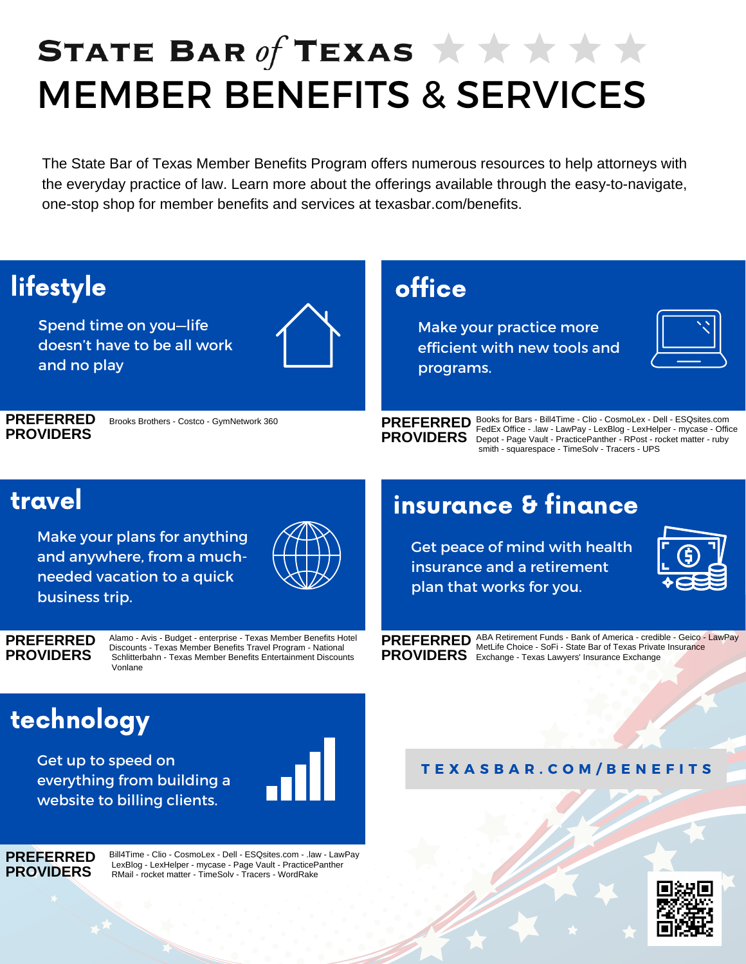# STATE BAR of TEXAS  $\star \star \star \star \star$ MEMBER BENEFITS & SERVICES

The State Bar of Texas Member Benefits Program offers numerous resources to help attorneys with the everyday practice of law. Learn more about the offerings available through the easy-to-navigate, one-stop shop for member benefits and services at texasbar.com/benefits.



Get up to speed on everything from building a website to billing clients.



**PREFERRED PROVIDERS**

Bill4Time - Clio - CosmoLex - Dell - ESQsites.com - .law - LawPay LexBlog - LexHelper - mycase - Page Vault - PracticePanther RMail - rocket matter - TimeSolv - Tracers - WordRake

**T E X A S B A R . C O M / B E N E F I T S**